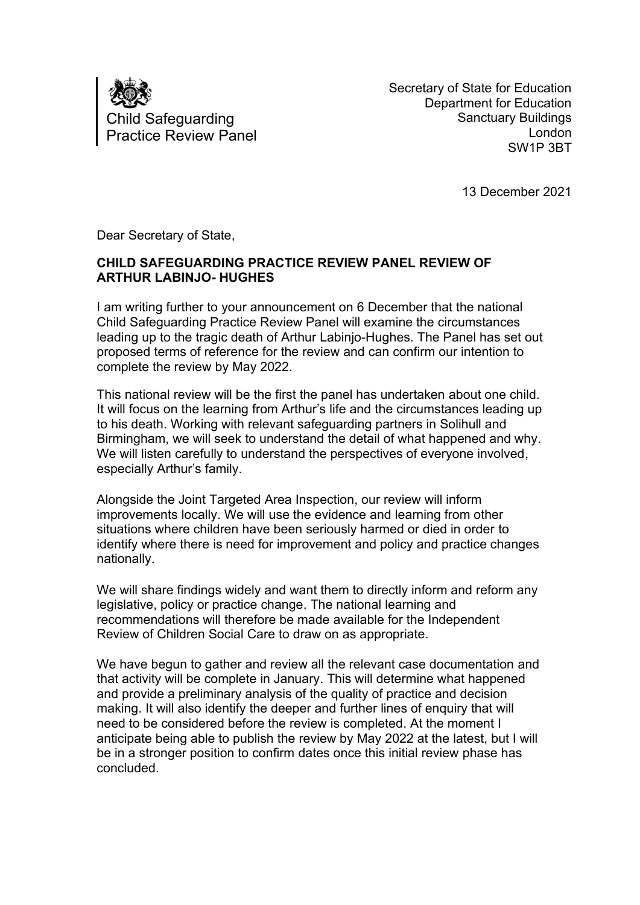

Secretary of State for Education Department for Education Sanctuary Buildings London SW1P 3BT

13 December 2021

Dear Secretary of State,

## **CHILD SAFEGUARDING PRACTICE REVIEW PANEL REVIEW OF ARTHUR LABINJO- HUGHES**

I am writing further to your announcement on 6 December that the national Child Safeguarding Practice Review Panel will examine the circumstances leading up to the tragic death of Arthur Labinjo-Hughes. The Panel has set out proposed terms of reference for the review and can confirm our intention to complete the review by May 2022.

This national review will be the first the panel has undertaken about one child. It will focus on the learning from Arthur's life and the circumstances leading up to his death. Working with relevant safeguarding partners in Solihull and Birmingham, we will seek to understand the detail of what happened and why. We will listen carefully to understand the perspectives of everyone involved, especially Arthur's family.

Alongside the Joint Targeted Area Inspection, our review will inform improvements locally. We will use the evidence and learning from other situations where children have been seriously harmed or died in order to identify where there is need for improvement and policy and practice changes nationally.

We will share findings widely and want them to directly inform and reform any legislative, policy or practice change. The national learning and recommendations will therefore be made available for the Independent Review of Children Social Care to draw on as appropriate.

We have begun to gather and review all the relevant case documentation and that activity will be complete in January. This will determine what happened and provide a preliminary analysis of the quality of practice and decision making. It will also identify the deeper and further lines of enquiry that will need to be considered before the review is completed. At the moment I anticipate being able to publish the review by May 2022 at the latest, but I will be in a stronger position to confirm dates once this initial review phase has concluded.